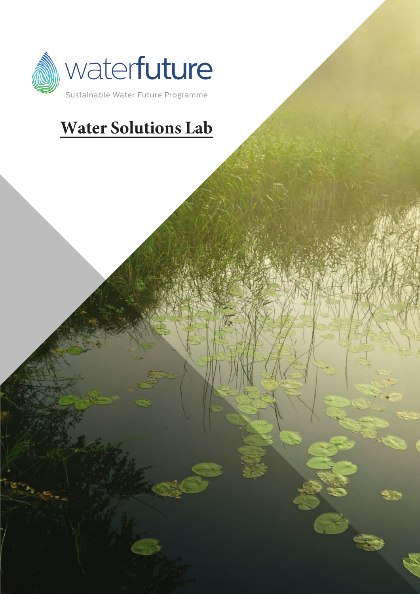

# **Water Solutions Lab**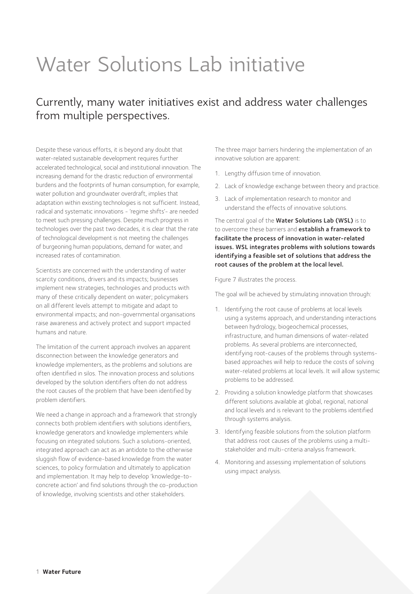# Water Solutions Lab initiative

## Currently, many water initiatives exist and address water challenges from multiple perspectives.

Despite these various efforts, it is beyond any doubt that water-related sustainable development requires further accelerated technological, social and institutional innovation. The increasing demand for the drastic reduction of environmental burdens and the footprints of human consumption, for example, water pollution and groundwater overdraft, implies that adaptation within existing technologies is not sufficient. Instead, radical and systematic innovations - 'regime shifts'- are needed to meet such pressing challenges. Despite much progress in technologies over the past two decades, it is clear that the rate of technological development is not meeting the challenges of burgeoning human populations, demand for water, and increased rates of contamination.

Scientists are concerned with the understanding of water scarcity conditions, drivers and its impacts; businesses implement new strategies, technologies and products with many of these critically dependent on water; policymakers on all different levels attempt to mitigate and adapt to environmental impacts; and non-governmental organisations raise awareness and actively protect and support impacted humans and nature.

The limitation of the current approach involves an apparent disconnection between the knowledge generators and knowledge implementers, as the problems and solutions are often identified in silos. The innovation process and solutions developed by the solution identifiers often do not address the root causes of the problem that have been identified by problem identifiers.

We need a change in approach and a framework that strongly connects both problem identifiers with solutions identifiers, knowledge generators and knowledge implementers while focusing on integrated solutions. Such a solutions-oriented, integrated approach can act as an antidote to the otherwise sluggish flow of evidence-based knowledge from the water sciences, to policy formulation and ultimately to application and implementation. It may help to develop 'knowledge-toconcrete action' and find solutions through the co-production of knowledge, involving scientists and other stakeholders.

The three major barriers hindering the implementation of an innovative solution are apparent:

- 1. Lengthy diffusion time of innovation.
- 2. Lack of knowledge exchange between theory and practice.
- 3. Lack of implementation research to monitor and understand the effects of innovative solutions.

The central goal of the Water Solutions Lab (WSL) is to to overcome these barriers and **establish a framework to** facilitate the process of innovation in water-related issues. WSL integrates problems with solutions towards identifying a feasible set of solutions that address the root causes of the problem at the local level.

Figure 7 illustrates the process.

The goal will be achieved by stimulating innovation through:

- 1. Identifying the root cause of problems at local levels using a systems approach, and understanding interactions between hydrology, biogeochemical processes, infrastructure, and human dimensions of water-related problems. As several problems are interconnected, identifying root-causes of the problems through systemsbased approaches will help to reduce the costs of solving water-related problems at local levels. It will allow systemic problems to be addressed.
- 2. Providing a solution knowledge platform that showcases different solutions available at global, regional, national and local levels and is relevant to the problems identified through systems analysis.
- 3. Identifying feasible solutions from the solution platform that address root causes of the problems using a multistakeholder and multi-criteria analysis framework.
- 4. Monitoring and assessing implementation of solutions using impact analysis.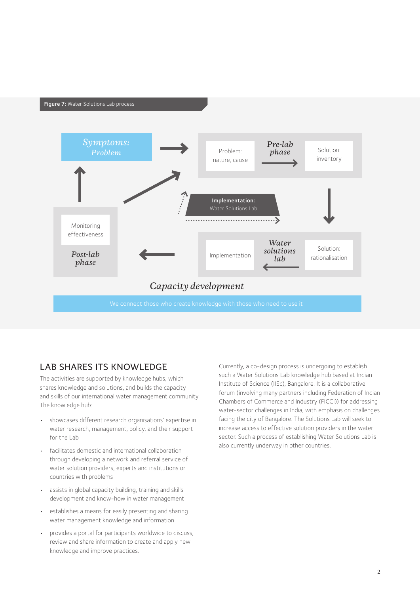#### Figure 7: Water Solutions Lab process



### LAB SHARES ITS KNOWLEDGE

The activities are supported by knowledge hubs, which shares knowledge and solutions, and builds the capacity and skills of our international water management community. The knowledge hub:

- showcases different research organisations' expertise in water research, management, policy, and their support for the Lab
- facilitates domestic and international collaboration through developing a network and referral service of water solution providers, experts and institutions or countries with problems
- assists in global capacity building, training and skills development and know-how in water management
- establishes a means for easily presenting and sharing water management knowledge and information
- provides a portal for participants worldwide to discuss, review and share information to create and apply new knowledge and improve practices.

Currently, a co-design process is undergoing to establish such a Water Solutions Lab knowledge hub based at Indian Institute of Science (IISc), Bangalore. It is a collaborative forum (involving many partners including Federation of Indian Chambers of Commerce and Industry (FICCI)) for addressing water-sector challenges in India, with emphasis on challenges facing the city of Bangalore. The Solutions Lab will seek to increase access to effective solution providers in the water sector. Such a process of establishing Water Solutions Lab is also currently underway in other countries.